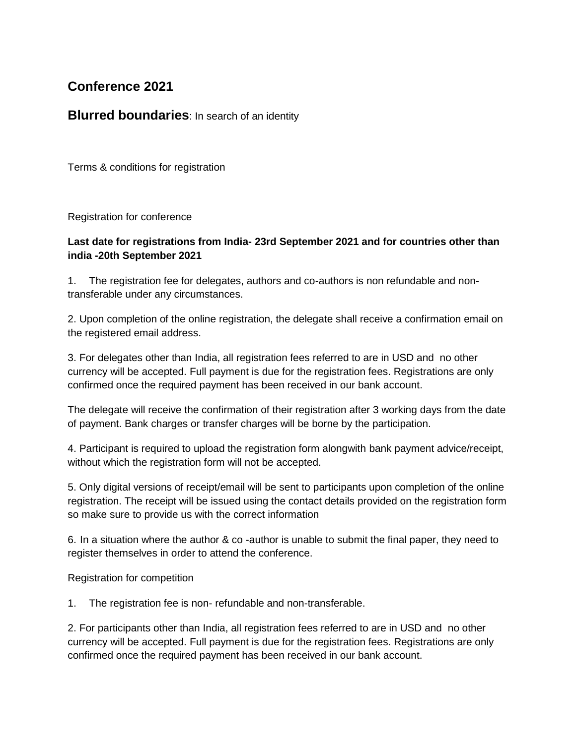## **Conference 2021**

## **Blurred boundaries:** In search of an identity

Terms & conditions for registration

Registration for conference

## **Last date for registrations from India- 23rd September 2021 and for countries other than india -20th September 2021**

1. The registration fee for delegates, authors and co-authors is non refundable and nontransferable under any circumstances.

2. Upon completion of the online registration, the delegate shall receive a confirmation email on the registered email address.

3. For delegates other than India, all registration fees referred to are in USD and no other currency will be accepted. Full payment is due for the registration fees. Registrations are only confirmed once the required payment has been received in our bank account.

The delegate will receive the confirmation of their registration after 3 working days from the date of payment. Bank charges or transfer charges will be borne by the participation.

4. Participant is required to upload the registration form alongwith bank payment advice/receipt, without which the registration form will not be accepted.

5. Only digital versions of receipt/email will be sent to participants upon completion of the online registration. The receipt will be issued using the contact details provided on the registration form so make sure to provide us with the correct information

6. In a situation where the author & co -author is unable to submit the final paper, they need to register themselves in order to attend the conference.

Registration for competition

1. The registration fee is non- refundable and non-transferable.

2. For participants other than India, all registration fees referred to are in USD and no other currency will be accepted. Full payment is due for the registration fees. Registrations are only confirmed once the required payment has been received in our bank account.